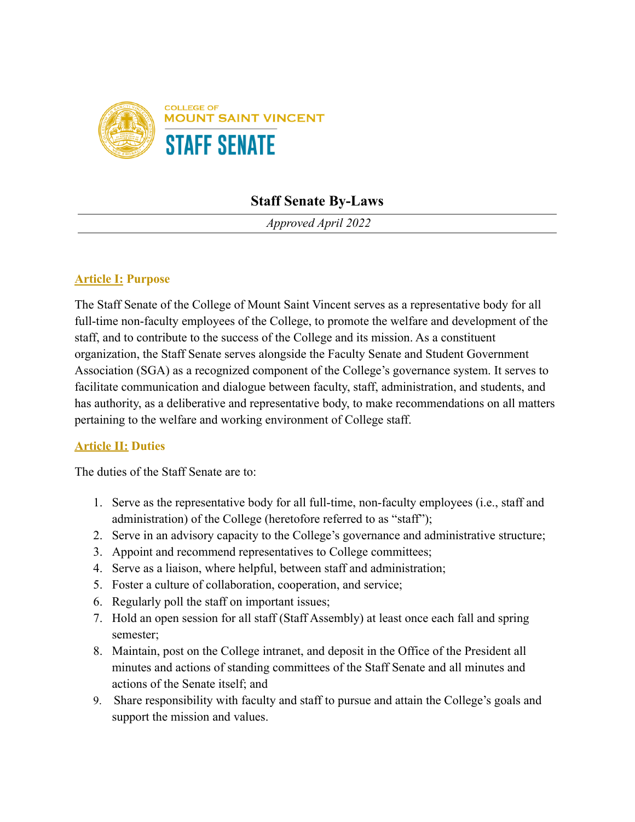

# **Staff Senate By-Laws**

*Approved April 2022*

#### **Article I: Purpose**

The Staff Senate of the College of Mount Saint Vincent serves as a representative body for all full-time non-faculty employees of the College, to promote the welfare and development of the staff, and to contribute to the success of the College and its mission. As a constituent organization, the Staff Senate serves alongside the Faculty Senate and Student Government Association (SGA) as a recognized component of the College's governance system. It serves to facilitate communication and dialogue between faculty, staff, administration, and students, and has authority, as a deliberative and representative body, to make recommendations on all matters pertaining to the welfare and working environment of College staff.

#### **Article II: Duties**

The duties of the Staff Senate are to:

- 1. Serve as the representative body for all full-time, non-faculty employees (i.e., staff and administration) of the College (heretofore referred to as "staff");
- 2. Serve in an advisory capacity to the College's governance and administrative structure;
- 3. Appoint and recommend representatives to College committees;
- 4. Serve as a liaison, where helpful, between staff and administration;
- 5. Foster a culture of collaboration, cooperation, and service;
- 6. Regularly poll the staff on important issues;
- 7. Hold an open session for all staff (Staff Assembly) at least once each fall and spring semester;
- 8. Maintain, post on the College intranet, and deposit in the Office of the President all minutes and actions of standing committees of the Staff Senate and all minutes and actions of the Senate itself; and
- 9. Share responsibility with faculty and staff to pursue and attain the College's goals and support the mission and values.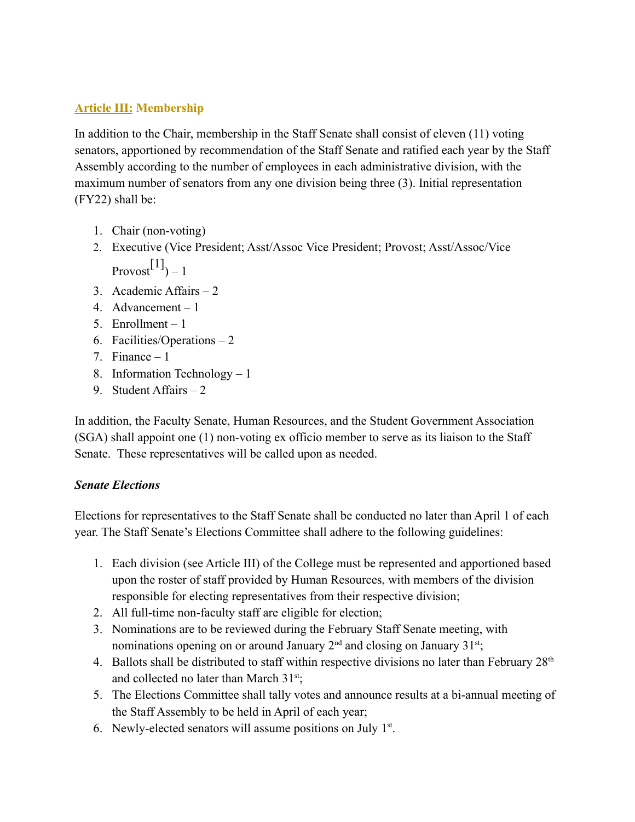### **Article III: Membership**

In addition to the Chair, membership in the Staff Senate shall consist of eleven (11) voting senators, apportioned by recommendation of the Staff Senate and ratified each year by the Staff Assembly according to the number of employees in each administrative division, with the maximum number of senators from any one division being three (3). Initial representation (FY22) shall be:

- 1. Chair (non-voting)
- 2. Executive (Vice President; Asst/Assoc Vice President; Provost; Asst/Assoc/Vice Provost $^{[1]}$ ) – 1
- 3. Academic Affairs 2
- 4. Advancement 1
- 5. Enrollment 1
- 6. Facilities/Operations 2
- 7. Finance  $-1$
- 8. Information Technology 1
- 9. Student Affairs 2

In addition, the Faculty Senate, Human Resources, and the Student Government Association (SGA) shall appoint one (1) non-voting ex officio member to serve as its liaison to the Staff Senate. These representatives will be called upon as needed.

### *Senate Elections*

Elections for representatives to the Staff Senate shall be conducted no later than April 1 of each year. The Staff Senate's Elections Committee shall adhere to the following guidelines:

- 1. Each division (see Article III) of the College must be represented and apportioned based upon the roster of staff provided by Human Resources, with members of the division responsible for electing representatives from their respective division;
- 2. All full-time non-faculty staff are eligible for election;
- 3. Nominations are to be reviewed during the February Staff Senate meeting, with nominations opening on or around January  $2<sup>nd</sup>$  and closing on January  $31<sup>st</sup>$ ;
- 4. Ballots shall be distributed to staff within respective divisions no later than February  $28<sup>th</sup>$ and collected no later than March 31<sup>st</sup>;
- 5. The Elections Committee shall tally votes and announce results at a bi-annual meeting of the Staff Assembly to be held in April of each year;
- 6. Newly-elected senators will assume positions on July  $1<sup>st</sup>$ .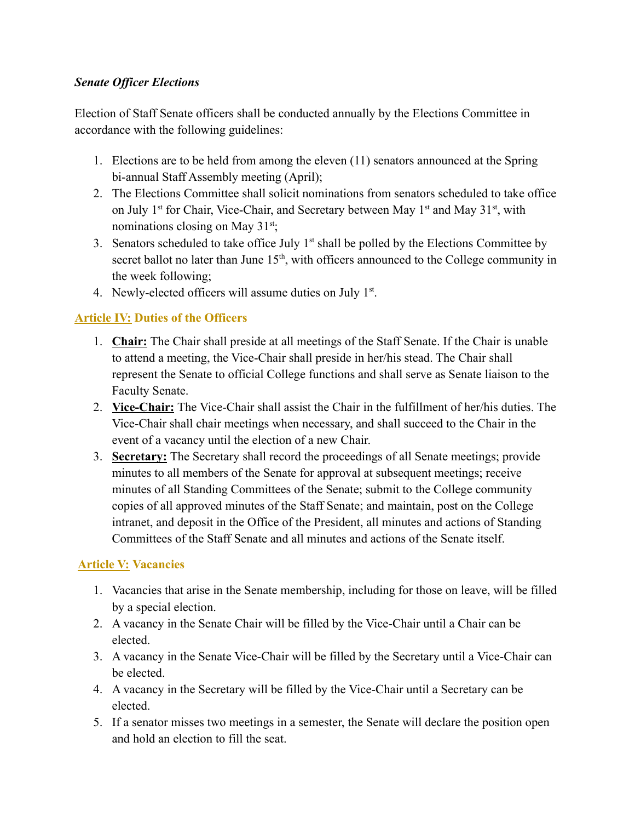#### *Senate Officer Elections*

Election of Staff Senate officers shall be conducted annually by the Elections Committee in accordance with the following guidelines:

- 1. Elections are to be held from among the eleven (11) senators announced at the Spring bi-annual Staff Assembly meeting (April);
- 2. The Elections Committee shall solicit nominations from senators scheduled to take office on July 1<sup>st</sup> for Chair, Vice-Chair, and Secretary between May 1<sup>st</sup> and May 31<sup>st</sup>, with nominations closing on May 31<sup>st</sup>;
- 3. Senators scheduled to take office July  $1<sup>st</sup>$  shall be polled by the Elections Committee by secret ballot no later than June  $15<sup>th</sup>$ , with officers announced to the College community in the week following;
- 4. Newly-elected officers will assume duties on July  $1<sup>st</sup>$ .

### **Article IV: Duties of the Officers**

- 1. **Chair:** The Chair shall preside at all meetings of the Staff Senate. If the Chair is unable to attend a meeting, the Vice-Chair shall preside in her/his stead. The Chair shall represent the Senate to official College functions and shall serve as Senate liaison to the Faculty Senate.
- 2. **Vice-Chair:** The Vice-Chair shall assist the Chair in the fulfillment of her/his duties. The Vice-Chair shall chair meetings when necessary, and shall succeed to the Chair in the event of a vacancy until the election of a new Chair.
- 3. **Secretary:** The Secretary shall record the proceedings of all Senate meetings; provide minutes to all members of the Senate for approval at subsequent meetings; receive minutes of all Standing Committees of the Senate; submit to the College community copies of all approved minutes of the Staff Senate; and maintain, post on the College intranet, and deposit in the Office of the President, all minutes and actions of Standing Committees of the Staff Senate and all minutes and actions of the Senate itself.

# **Article V: Vacancies**

- 1. Vacancies that arise in the Senate membership, including for those on leave, will be filled by a special election.
- 2. A vacancy in the Senate Chair will be filled by the Vice-Chair until a Chair can be elected.
- 3. A vacancy in the Senate Vice-Chair will be filled by the Secretary until a Vice-Chair can be elected.
- 4. A vacancy in the Secretary will be filled by the Vice-Chair until a Secretary can be elected.
- 5. If a senator misses two meetings in a semester, the Senate will declare the position open and hold an election to fill the seat.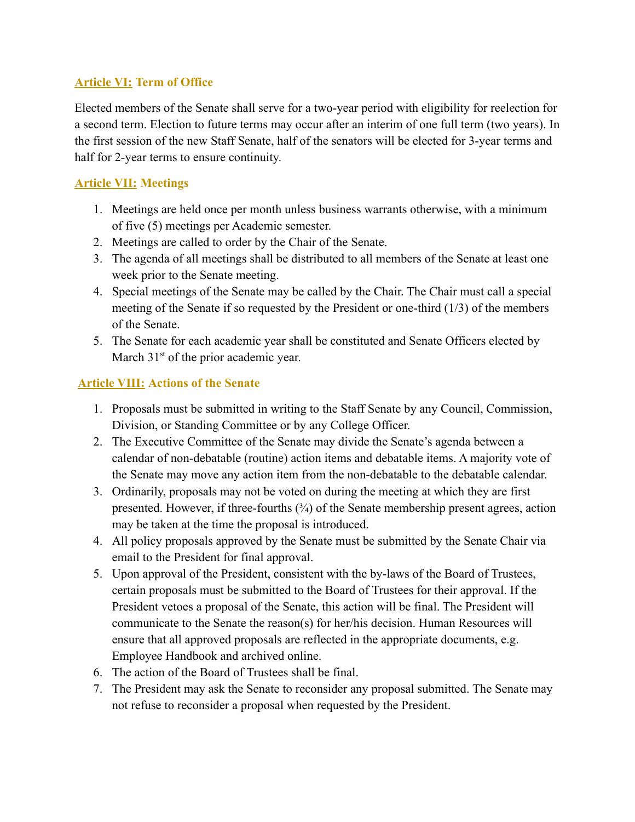### **Article VI: Term of Office**

Elected members of the Senate shall serve for a two-year period with eligibility for reelection for a second term. Election to future terms may occur after an interim of one full term (two years). In the first session of the new Staff Senate, half of the senators will be elected for 3-year terms and half for 2-year terms to ensure continuity.

### **Article VII: Meetings**

- 1. Meetings are held once per month unless business warrants otherwise, with a minimum of five (5) meetings per Academic semester.
- 2. Meetings are called to order by the Chair of the Senate.
- 3. The agenda of all meetings shall be distributed to all members of the Senate at least one week prior to the Senate meeting.
- 4. Special meetings of the Senate may be called by the Chair. The Chair must call a special meeting of the Senate if so requested by the President or one-third (1/3) of the members of the Senate.
- 5. The Senate for each academic year shall be constituted and Senate Officers elected by March  $31<sup>st</sup>$  of the prior academic year.

# **Article VIII: Actions of the Senate**

- 1. Proposals must be submitted in writing to the Staff Senate by any Council, Commission, Division, or Standing Committee or by any College Officer.
- 2. The Executive Committee of the Senate may divide the Senate's agenda between a calendar of non-debatable (routine) action items and debatable items. A majority vote of the Senate may move any action item from the non-debatable to the debatable calendar.
- 3. Ordinarily, proposals may not be voted on during the meeting at which they are first presented. However, if three-fourths  $(3/4)$  of the Senate membership present agrees, action may be taken at the time the proposal is introduced.
- 4. All policy proposals approved by the Senate must be submitted by the Senate Chair via email to the President for final approval.
- 5. Upon approval of the President, consistent with the by-laws of the Board of Trustees, certain proposals must be submitted to the Board of Trustees for their approval. If the President vetoes a proposal of the Senate, this action will be final. The President will communicate to the Senate the reason(s) for her/his decision. Human Resources will ensure that all approved proposals are reflected in the appropriate documents, e.g. Employee Handbook and archived online.
- 6. The action of the Board of Trustees shall be final.
- 7. The President may ask the Senate to reconsider any proposal submitted. The Senate may not refuse to reconsider a proposal when requested by the President.